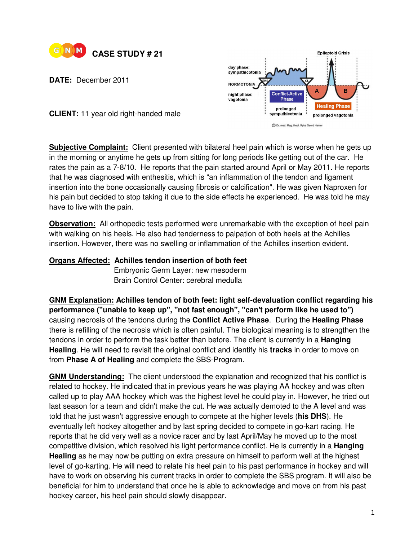

**DATE:** December 2011



**CLIENT:** 11 year old right-handed male

**Subjective Complaint:** Client presented with bilateral heel pain which is worse when he gets up in the morning or anytime he gets up from sitting for long periods like getting out of the car. He rates the pain as a 7-8/10. He reports that the pain started around April or May 2011. He reports that he was diagnosed with enthesitis, which is "an inflammation of the tendon and ligament insertion into the bone occasionally causing fibrosis or calcification". He was given Naproxen for his pain but decided to stop taking it due to the side effects he experienced. He was told he may have to live with the pain.

**Observation:** All orthopedic tests performed were unremarkable with the exception of heel pain with walking on his heels. He also had tenderness to palpation of both heels at the Achilles insertion. However, there was no swelling or inflammation of the Achilles insertion evident.

## **Organs Affected: Achilles tendon insertion of both feet**

**Embryonic Germ Layer: new mesoderm** Brain Control Center: cerebral medulla

**GNM Explanation: Achilles tendon of both feet: light self-devaluation conflict regarding his performance ("unable to keep up", "not fast enough", "can't perform like he used to")**  causing necrosis of the tendons during the **Conflict Active Phase**. During the **Healing Phase** there is refilling of the necrosis which is often painful. The biological meaning is to strengthen the tendons in order to perform the task better than before. The client is currently in a **Hanging Healing**. He will need to revisit the original conflict and identify his **tracks** in order to move on from **Phase A of Healing** and complete the SBS-Program.

**GNM Understanding:** The client understood the explanation and recognized that his conflict is related to hockey. He indicated that in previous years he was playing AA hockey and was often called up to play AAA hockey which was the highest level he could play in. However, he tried out last season for a team and didn't make the cut. He was actually demoted to the A level and was told that he just wasn't aggressive enough to compete at the higher levels (**his DHS**). He eventually left hockey altogether and by last spring decided to compete in go-kart racing. He reports that he did very well as a novice racer and by last April/May he moved up to the most competitive division, which resolved his light performance conflict. He is currently in a **Hanging Healing** as he may now be putting on extra pressure on himself to perform well at the highest level of go-karting. He will need to relate his heel pain to his past performance in hockey and will have to work on observing his current tracks in order to complete the SBS program. It will also be beneficial for him to understand that once he is able to acknowledge and move on from his past hockey career, his heel pain should slowly disappear.